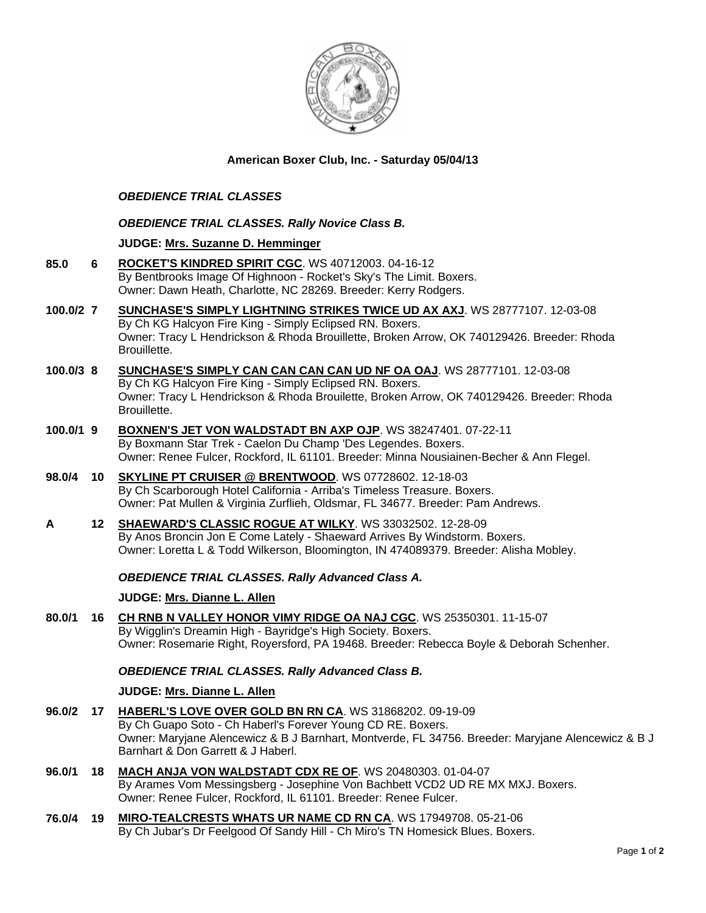

## **American Boxer Club, Inc. - Saturday 05/04/13**

# *OBEDIENCE TRIAL CLASSES*

### *OBEDIENCE TRIAL CLASSES. Rally Novice Class B.*

### **JUDGE: [Mrs. Suzanne D. Hemminger](http://www.infodog.com/judges/15146/juddat.htm)**

- **85.0 6 [ROCKET'S KINDRED SPIRIT CGC](http://www.infodog.com/files/bdogrsl1.prg;makc=WS%2040712003;mdog=Rocket_s_Kindred_Spirit_CGC;wins=all)**. WS 40712003. 04-16-12 By Bentbrooks Image Of Highnoon - Rocket's Sky's The Limit. Boxers. Owner: Dawn Heath, Charlotte, NC 28269. Breeder: Kerry Rodgers.
- **100.0/2 7 [SUNCHASE'S SIMPLY LIGHTNING STRIKES TWICE UD AX AXJ](http://www.infodog.com/files/bdogrsl1.prg;makc=WS%2028777107;mdog=Sunchase_s_Simply_Lightning_Strikes_Twice_UD_AX_AXJ;wins=all)**. WS 28777107. 12-03-08 By Ch KG Halcyon Fire King - Simply Eclipsed RN. Boxers. Owner: Tracy L Hendrickson & Rhoda Brouillette, Broken Arrow, OK 740129426. Breeder: Rhoda Brouillette.
- **100.0/3 8 [SUNCHASE'S SIMPLY CAN CAN CAN CAN UD NF OA OAJ](http://www.infodog.com/files/bdogrsl1.prg;makc=WS%2028777101;mdog=Sunchase_s_Simply_Can_Can_Can_Can_UD_NF_OA_OAJ;wins=all)**. WS 28777101. 12-03-08 By Ch KG Halcyon Fire King - Simply Eclipsed RN. Boxers. Owner: Tracy L Hendrickson & Rhoda Brouilette, Broken Arrow, OK 740129426. Breeder: Rhoda Brouillette.
- **100.0/1 9 [BOXNEN'S JET VON WALDSTADT BN AXP OJP](http://www.infodog.com/files/bdogrsl1.prg;makc=WS%2038247401;mdog=Boxnen_s_Jet_Von_Waldstadt_BN_AXP_OJP;wins=all)**. WS 38247401. 07-22-11 By Boxmann Star Trek - Caelon Du Champ 'Des Legendes. Boxers. Owner: Renee Fulcer, Rockford, IL 61101. Breeder: Minna Nousiainen-Becher & Ann Flegel.
- **98.0/4 10 [SKYLINE PT CRUISER @ BRENTWOOD](http://www.infodog.com/files/bdogrsl1.prg;makc=WS%2007728602;mdog=Skyline_PT_Cruiser_@_Brentwood;wins=all)**. WS 07728602. 12-18-03 By Ch Scarborough Hotel California - Arriba's Timeless Treasure. Boxers. Owner: Pat Mullen & Virginia Zurflieh, Oldsmar, FL 34677. Breeder: Pam Andrews.
- **A 12 [SHAEWARD'S CLASSIC ROGUE AT WILKY](http://www.infodog.com/files/bdogrsl1.prg;makc=WS%2033032502;mdog=Shaeward_s_Classic_Rogue_At_Wilky;wins=all)**. WS 33032502. 12-28-09 By Anos Broncin Jon E Come Lately - Shaeward Arrives By Windstorm. Boxers. Owner: Loretta L & Todd Wilkerson, Bloomington, IN 474089379. Breeder: Alisha Mobley.

## *OBEDIENCE TRIAL CLASSES. Rally Advanced Class A.*

#### **JUDGE: [Mrs. Dianne L. Allen](http://www.infodog.com/judges/5494/juddat.htm)**

**80.0/1 16 [CH RNB N VALLEY HONOR VIMY RIDGE OA NAJ CGC](http://www.infodog.com/files/bdogrsl1.prg;makc=WS%2025350301;mdog=Ch_RNB_N_Valley_Honor_Vimy_Ridge_OA_NAJ_CGC;wins=all)**. WS 25350301. 11-15-07 By Wigglin's Dreamin High - Bayridge's High Society. Boxers. Owner: Rosemarie Right, Royersford, PA 19468. Breeder: Rebecca Boyle & Deborah Schenher.

#### *OBEDIENCE TRIAL CLASSES. Rally Advanced Class B.*

#### **JUDGE: [Mrs. Dianne L. Allen](http://www.infodog.com/judges/5494/juddat.htm)**

- **96.0/2 17 [HABERL'S LOVE OVER GOLD BN RN CA](http://www.infodog.com/files/bdogrsl1.prg;makc=WS%2031868202;mdog=Haberl_s_Love_Over_Gold_BN_RN_CA;wins=all)**. WS 31868202. 09-19-09 By Ch Guapo Soto - Ch Haberl's Forever Young CD RE. Boxers. Owner: Maryjane Alencewicz & B J Barnhart, Montverde, FL 34756. Breeder: Maryjane Alencewicz & B J Barnhart & Don Garrett & J Haberl.
- **96.0/1 18 [MACH ANJA VON WALDSTADT CDX RE OF](http://www.infodog.com/files/bdogrsl1.prg;makc=WS%2020480303;mdog=MACH_Anja_Von_Waldstadt_CDX_RE_OF;wins=all)**. WS 20480303. 01-04-07 By Arames Vom Messingsberg - Josephine Von Bachbett VCD2 UD RE MX MXJ. Boxers. Owner: Renee Fulcer, Rockford, IL 61101. Breeder: Renee Fulcer.
- **76.0/4 19 [MIRO-TEALCRESTS WHATS UR NAME CD RN CA](http://www.infodog.com/files/bdogrsl1.prg;makc=WS%2017949708;mdog=Miro-Tealcrests_Whats_Ur_Name_CD_RN_CA;wins=all)**. WS 17949708. 05-21-06 By Ch Jubar's Dr Feelgood Of Sandy Hill - Ch Miro's TN Homesick Blues. Boxers.